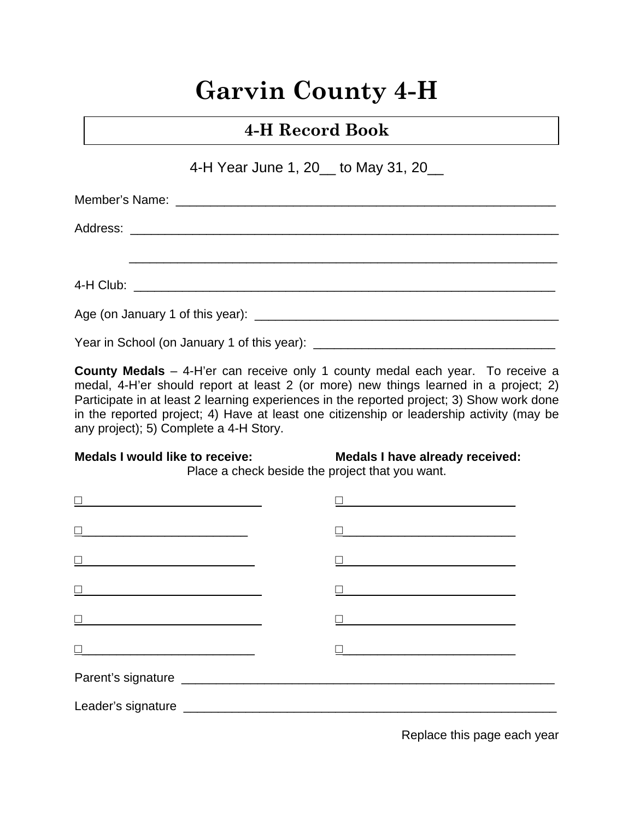# **Garvin County 4-H**

# **4-H Record Book**

4-H Year June 1, 20 to May 31, 20

**County Medals** – 4-H'er can receive only 1 county medal each year. To receive a medal, 4-H'er should report at least 2 (or more) new things learned in a project; 2) Participate in at least 2 learning experiences in the reported project; 3) Show work done in the reported project; 4) Have at least one citizenship or leadership activity (may be any project); 5) Complete a 4-H Story.

#### **Medals I would like to receive: Medals I have already received:**

Place a check beside the project that you want.

| <u> 1989 - Johann Barn, mars eta bat erroman e</u>                                                                   |                                                                                                                      |
|----------------------------------------------------------------------------------------------------------------------|----------------------------------------------------------------------------------------------------------------------|
| <u> 1990 - Johann John Stone, market fransk politiker (</u>                                                          | <u> 1990 - Johann John Stone, mars eta bat eta bat eta bat eta bat eta bat eta bat eta bat eta bat eta bat eta b</u> |
| <u> 1990 - Johann John Stone, mars eta bat eta bat eta bat eta bat eta bat eta bat eta bat eta bat eta bat eta b</u> |                                                                                                                      |
| <u> 1989 - Johann John Stone, meilich and der Stone († 1918)</u>                                                     |                                                                                                                      |
|                                                                                                                      | <u> 1980 - Jan Barnett, fransk politik (d. 1980)</u>                                                                 |
|                                                                                                                      |                                                                                                                      |
|                                                                                                                      |                                                                                                                      |

Replace this page each year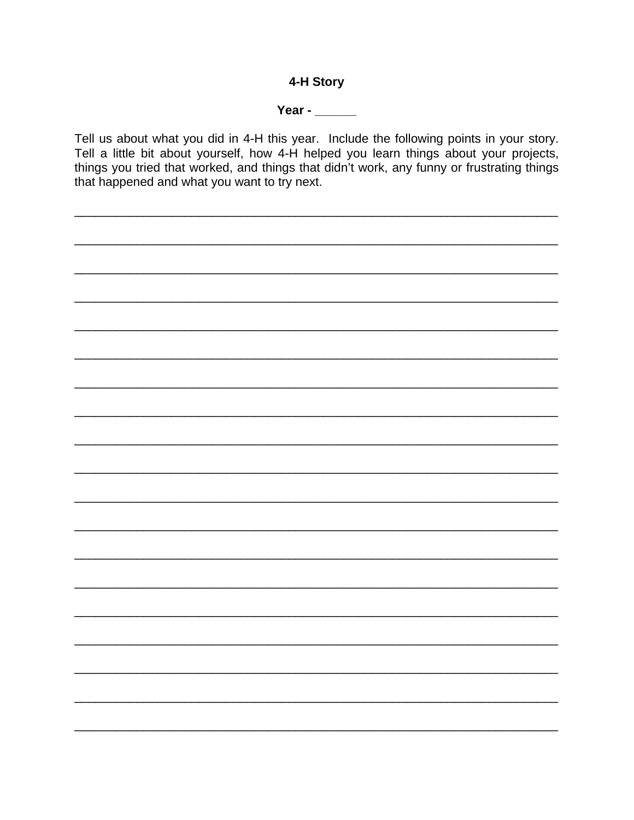#### 4-H Story

#### Year - $\_\_$

Tell us about what you did in 4-H this year. Include the following points in your story. Tell a little bit about yourself, how 4-H helped you learn things about your projects, things you tried that worked, and things that didn't work, any funny or frustrating things that happened and what you want to try next.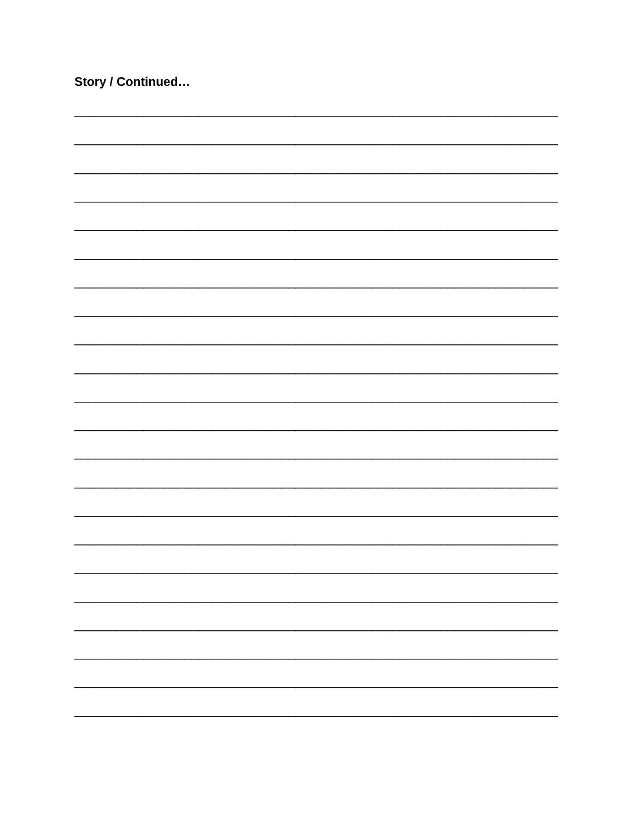| Story / Continued |  |
|-------------------|--|
|                   |  |
|                   |  |
|                   |  |
|                   |  |
|                   |  |
|                   |  |
|                   |  |
|                   |  |
|                   |  |
|                   |  |
|                   |  |
|                   |  |
|                   |  |
|                   |  |
|                   |  |
|                   |  |
|                   |  |
|                   |  |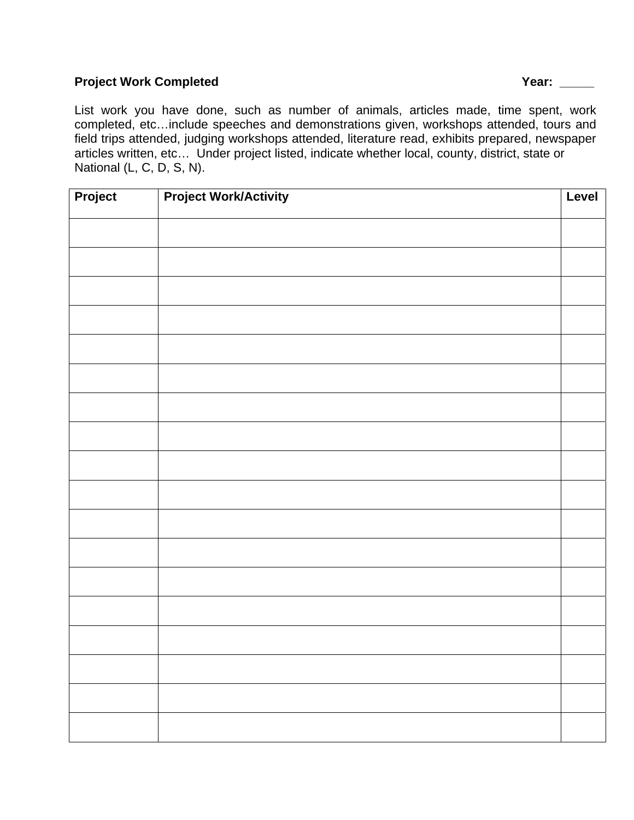#### **Project Work Completed The Completed Complete Algebra 2012 12: 2013 12: 2014 12: 2014 12: 2014 12: 2014 12: 2016 12: 2016 12: 2016 12: 2016 12: 2016 12: 2016 12: 2016 12: 2016 12: 2016 12: 2016 12: 2016 12: 2016 12: 2016**

List work you have done, such as number of animals, articles made, time spent, work completed, etc…include speeches and demonstrations given, workshops attended, tours and field trips attended, judging workshops attended, literature read, exhibits prepared, newspaper articles written, etc… Under project listed, indicate whether local, county, district, state or National (L, C, D, S, N).

| Project | <b>Project Work/Activity</b> | Level |
|---------|------------------------------|-------|
|         |                              |       |
|         |                              |       |
|         |                              |       |
|         |                              |       |
|         |                              |       |
|         |                              |       |
|         |                              |       |
|         |                              |       |
|         |                              |       |
|         |                              |       |
|         |                              |       |
|         |                              |       |
|         |                              |       |
|         |                              |       |
|         |                              |       |
|         |                              |       |
|         |                              |       |
|         |                              |       |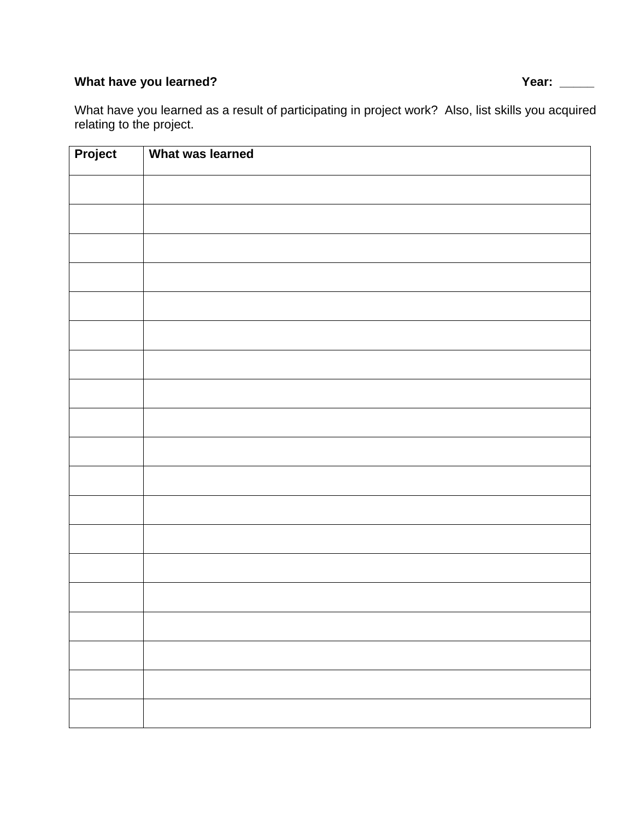# What have you learned? **What have you learned?** All the state of the state of the state of the state of the state of the state of the state of the state of the state of the state of the state of the state of the state of t

What have you learned as a result of participating in project work? Also, list skills you acquired relating to the project.

| Project | What was learned |
|---------|------------------|
|         |                  |
|         |                  |
|         |                  |
|         |                  |
|         |                  |
|         |                  |
|         |                  |
|         |                  |
|         |                  |
|         |                  |
|         |                  |
|         |                  |
|         |                  |
|         |                  |
|         |                  |
|         |                  |
|         |                  |
|         |                  |
|         |                  |
|         |                  |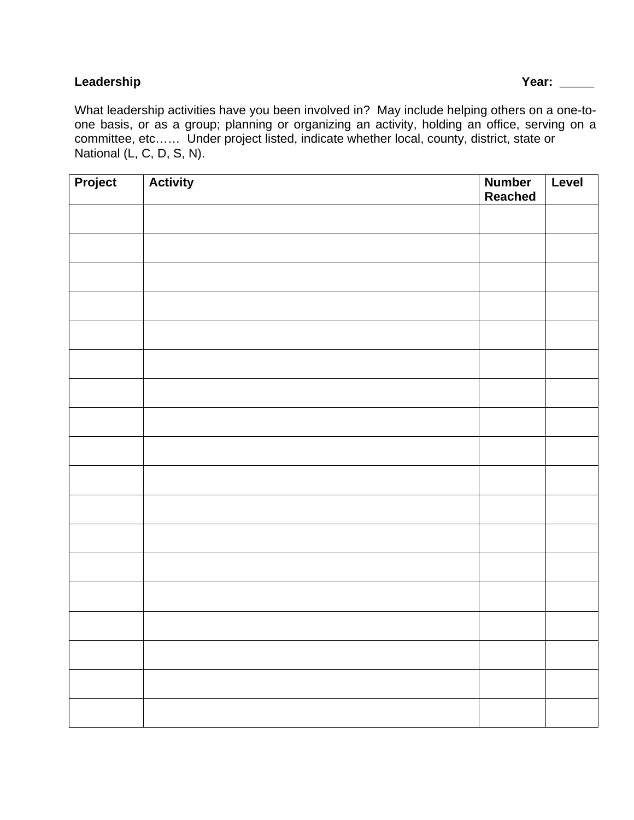#### **Leadership Year: \_\_\_\_\_**

What leadership activities have you been involved in? May include helping others on a one-toone basis, or as a group; planning or organizing an activity, holding an office, serving on a committee, etc…… Under project listed, indicate whether local, county, district, state or National (L, C, D, S, N).

| Project | <b>Activity</b> | <b>Number</b><br><b>Reached</b> | Level |
|---------|-----------------|---------------------------------|-------|
|         |                 |                                 |       |
|         |                 |                                 |       |
|         |                 |                                 |       |
|         |                 |                                 |       |
|         |                 |                                 |       |
|         |                 |                                 |       |
|         |                 |                                 |       |
|         |                 |                                 |       |
|         |                 |                                 |       |
|         |                 |                                 |       |
|         |                 |                                 |       |
|         |                 |                                 |       |
|         |                 |                                 |       |
|         |                 |                                 |       |
|         |                 |                                 |       |
|         |                 |                                 |       |
|         |                 |                                 |       |
|         |                 |                                 |       |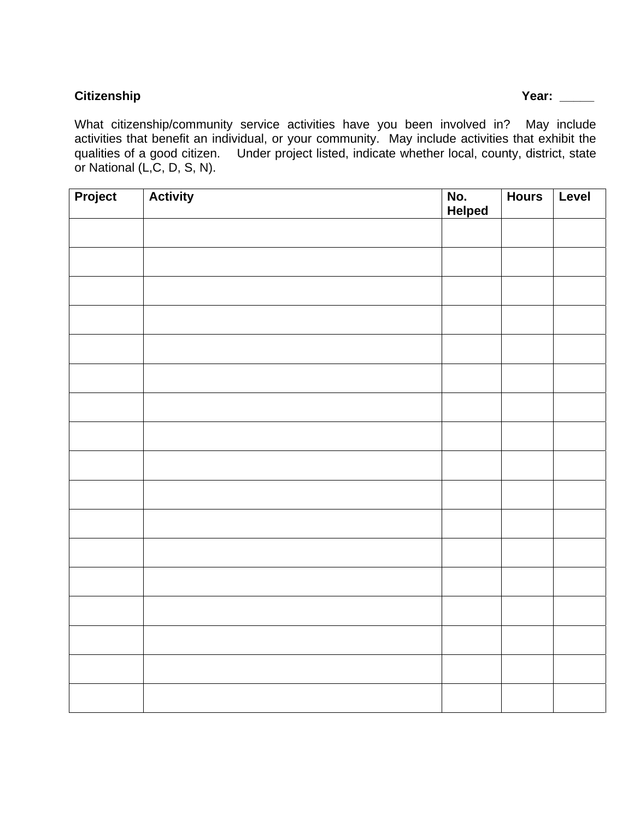#### **Citizenship Year: \_\_\_\_\_**

What citizenship/community service activities have you been involved in? May include activities that benefit an individual, or your community. May include activities that exhibit the qualities of a good citizen. Under project listed, indicate whether local, county, district, state or National (L,C, D, S, N).

| Project | <b>Activity</b> | No.<br>Helped | <b>Hours</b> | Level |
|---------|-----------------|---------------|--------------|-------|
|         |                 |               |              |       |
|         |                 |               |              |       |
|         |                 |               |              |       |
|         |                 |               |              |       |
|         |                 |               |              |       |
|         |                 |               |              |       |
|         |                 |               |              |       |
|         |                 |               |              |       |
|         |                 |               |              |       |
|         |                 |               |              |       |
|         |                 |               |              |       |
|         |                 |               |              |       |
|         |                 |               |              |       |
|         |                 |               |              |       |
|         |                 |               |              |       |
|         |                 |               |              |       |
|         |                 |               |              |       |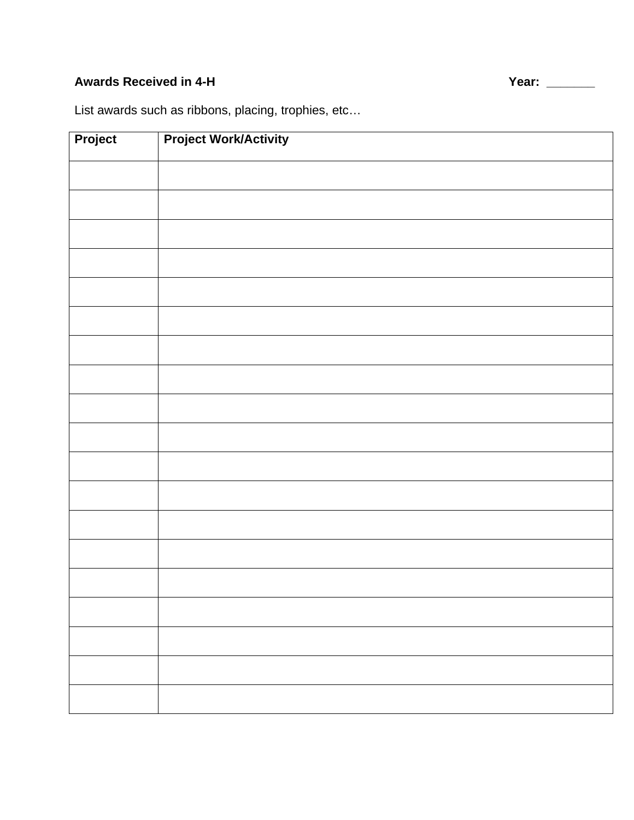# Awards Received in 4-H **Year:** 2008 No. 2014 Network 2014 Network 2014 Network 2014 Network 2014 2014 2014 2014

List awards such as ribbons, placing, trophies, etc…

| Project | <b>Project Work/Activity</b> |
|---------|------------------------------|
|         |                              |
|         |                              |
|         |                              |
|         |                              |
|         |                              |
|         |                              |
|         |                              |
|         |                              |
|         |                              |
|         |                              |
|         |                              |
|         |                              |
|         |                              |
|         |                              |
|         |                              |
|         |                              |
|         |                              |
|         |                              |
|         |                              |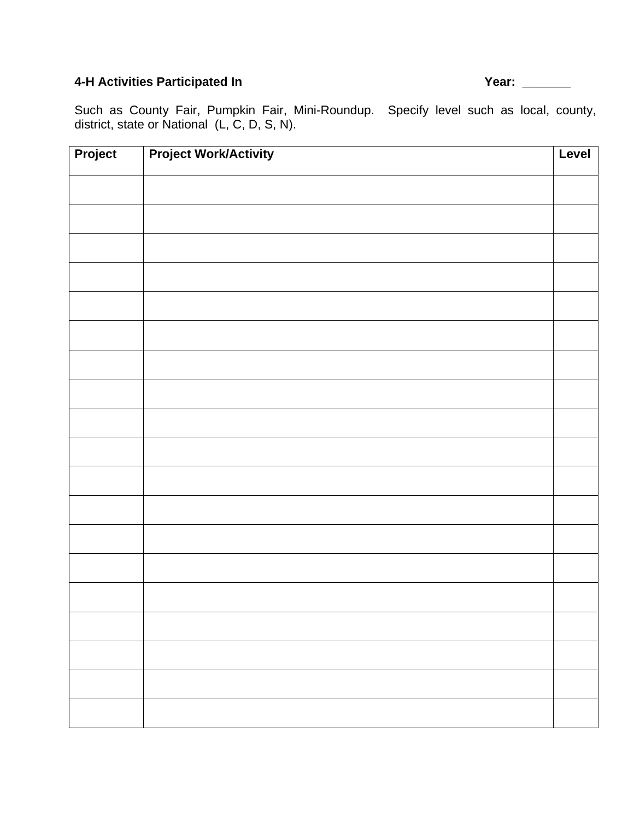# 4-H Activities Participated In **Activities Participated In** Activities Participated In

Such as County Fair, Pumpkin Fair, Mini-Roundup. Specify level such as local, county, district, state or National (L, C, D, S, N).

| Project | <b>Project Work/Activity</b> | Level |
|---------|------------------------------|-------|
|         |                              |       |
|         |                              |       |
|         |                              |       |
|         |                              |       |
|         |                              |       |
|         |                              |       |
|         |                              |       |
|         |                              |       |
|         |                              |       |
|         |                              |       |
|         |                              |       |
|         |                              |       |
|         |                              |       |
|         |                              |       |
|         |                              |       |
|         |                              |       |
|         |                              |       |
|         |                              |       |
|         |                              |       |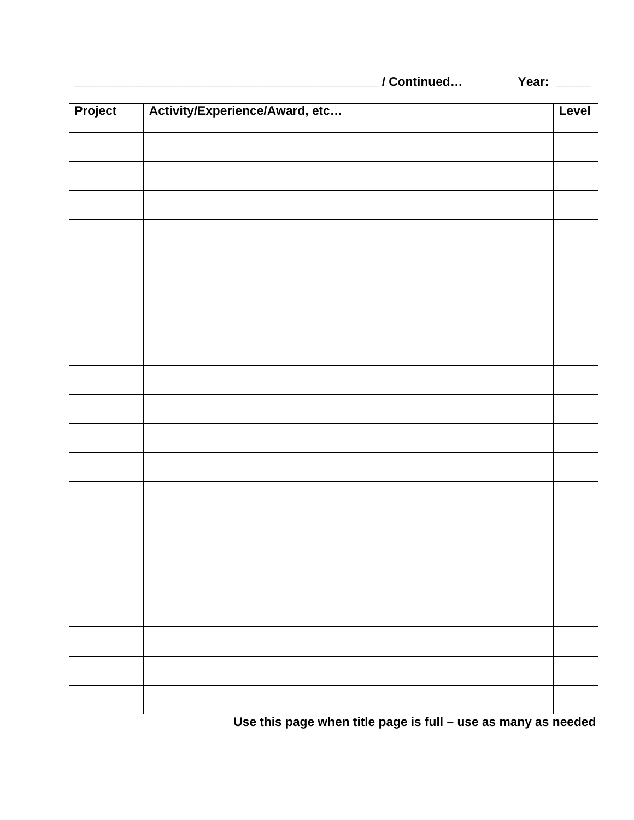|  | / Continued |  |
|--|-------------|--|
|  |             |  |

**Year:** \_\_\_\_\_

| Project | Activity/Experience/Award, etc | Level |
|---------|--------------------------------|-------|
|         |                                |       |
|         |                                |       |
|         |                                |       |
|         |                                |       |
|         |                                |       |
|         |                                |       |
|         |                                |       |
|         |                                |       |
|         |                                |       |
|         |                                |       |
|         |                                |       |
|         |                                |       |
|         |                                |       |
|         |                                |       |
|         |                                |       |
|         |                                |       |
|         |                                |       |
|         |                                |       |
|         |                                |       |
|         |                                |       |

**Use this page when title page is full – use as many as needed**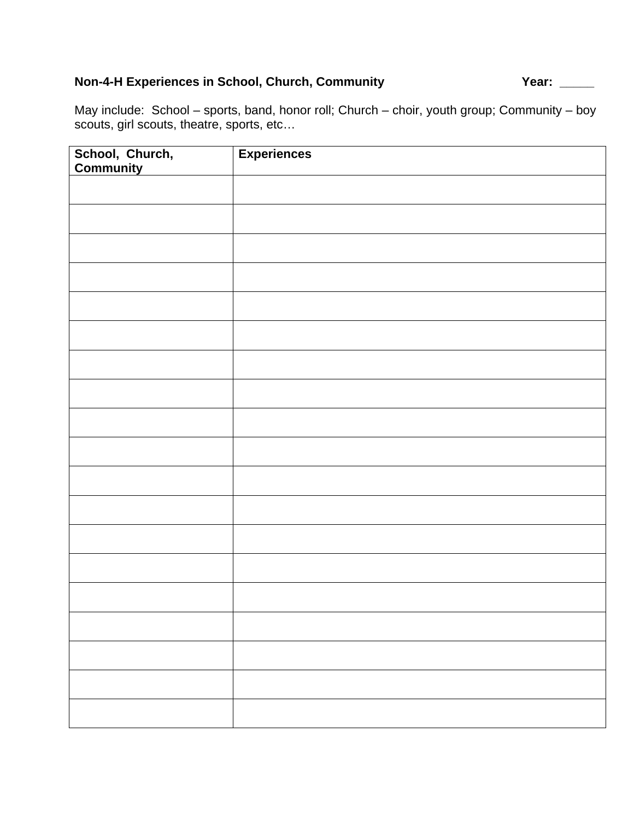# **Non-4-H Experiences in School, Church, Community Year:** \_\_\_\_\_

May include: School – sports, band, honor roll; Church – choir, youth group; Community – boy scouts, girl scouts, theatre, sports, etc…

| School, Church,<br>Community | <b>Experiences</b> |
|------------------------------|--------------------|
|                              |                    |
|                              |                    |
|                              |                    |
|                              |                    |
|                              |                    |
|                              |                    |
|                              |                    |
|                              |                    |
|                              |                    |
|                              |                    |
|                              |                    |
|                              |                    |
|                              |                    |
|                              |                    |
|                              |                    |
|                              |                    |
|                              |                    |
|                              |                    |
|                              |                    |
|                              |                    |
|                              |                    |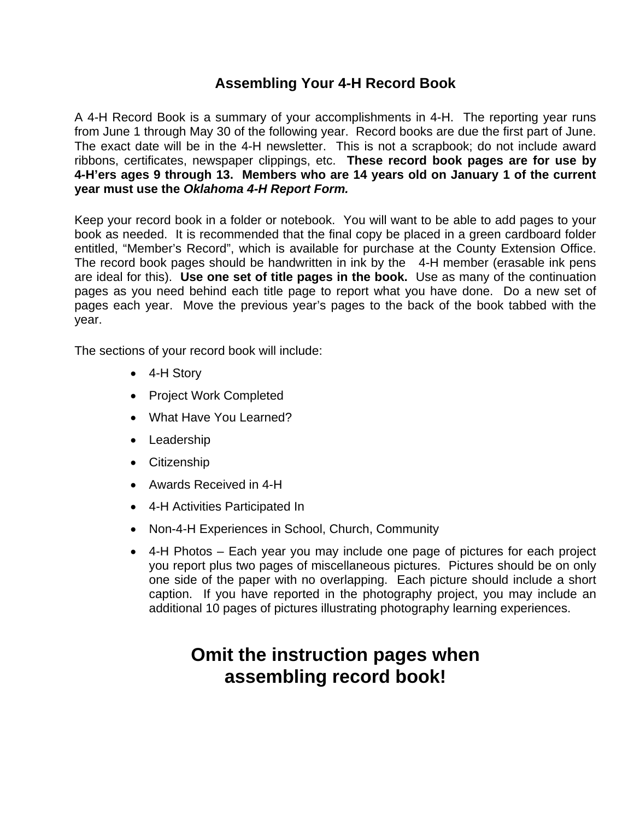## **Assembling Your 4-H Record Book**

A 4-H Record Book is a summary of your accomplishments in 4-H. The reporting year runs from June 1 through May 30 of the following year. Record books are due the first part of June. The exact date will be in the 4-H newsletter. This is not a scrapbook; do not include award ribbons, certificates, newspaper clippings, etc. **These record book pages are for use by 4-H'ers ages 9 through 13. Members who are 14 years old on January 1 of the current year must use the** *Oklahoma 4-H Report Form.*

Keep your record book in a folder or notebook. You will want to be able to add pages to your book as needed. It is recommended that the final copy be placed in a green cardboard folder entitled, "Member's Record", which is available for purchase at the County Extension Office. The record book pages should be handwritten in ink by the 4-H member (erasable ink pens are ideal for this). **Use one set of title pages in the book.** Use as many of the continuation pages as you need behind each title page to report what you have done. Do a new set of pages each year. Move the previous year's pages to the back of the book tabbed with the year.

The sections of your record book will include:

- 4-H Story
- Project Work Completed
- What Have You Learned?
- Leadership
- Citizenship
- Awards Received in 4-H
- 4-H Activities Participated In
- Non-4-H Experiences in School, Church, Community
- 4-H Photos Each year you may include one page of pictures for each project you report plus two pages of miscellaneous pictures. Pictures should be on only one side of the paper with no overlapping. Each picture should include a short caption. If you have reported in the photography project, you may include an additional 10 pages of pictures illustrating photography learning experiences.

# **Omit the instruction pages when assembling record book!**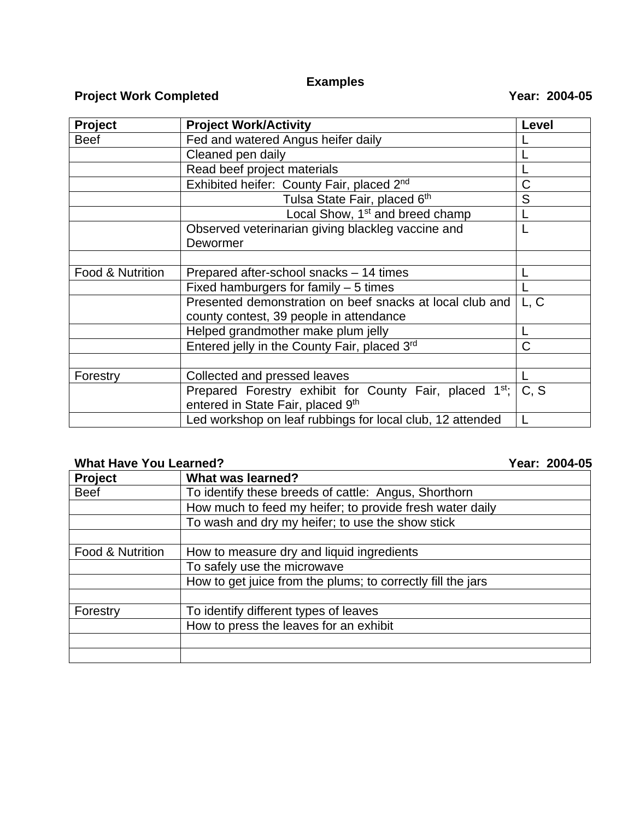# **Examples**

# **Project Work Completed Completed Completed Complete Reserve Algorithment Complete Algorithment Complete Algorithment Complete Algorithment Complete Algorithment Complete Algorithment Complete Algorithment Complete Algorit**

| <b>Project</b>   | <b>Project Work/Activity</b>                                        | Level |
|------------------|---------------------------------------------------------------------|-------|
| <b>Beef</b>      | Fed and watered Angus heifer daily                                  |       |
|                  | Cleaned pen daily                                                   |       |
|                  | Read beef project materials                                         |       |
|                  | Exhibited heifer: County Fair, placed 2nd                           | C     |
|                  | Tulsa State Fair, placed 6th                                        | S     |
|                  | Local Show, 1 <sup>st</sup> and breed champ                         |       |
|                  | Observed veterinarian giving blackleg vaccine and                   |       |
|                  | Dewormer                                                            |       |
|                  |                                                                     |       |
| Food & Nutrition | Prepared after-school snacks – 14 times                             |       |
|                  | Fixed hamburgers for family $-5$ times                              |       |
|                  | Presented demonstration on beef snacks at local club and            | L, C  |
|                  | county contest, 39 people in attendance                             |       |
|                  | Helped grandmother make plum jelly                                  |       |
|                  | Entered jelly in the County Fair, placed 3rd                        | C     |
|                  |                                                                     |       |
| Forestry         | Collected and pressed leaves                                        |       |
|                  | Prepared Forestry exhibit for County Fair, placed 1 <sup>st</sup> ; | C, S  |
|                  | entered in State Fair, placed 9th                                   |       |
|                  | Led workshop on leaf rubbings for local club, 12 attended           |       |

## **What Have You Learned? Year: 2004-05**

| <b>Project</b>   | What was learned?                                           |
|------------------|-------------------------------------------------------------|
| <b>Beef</b>      | To identify these breeds of cattle: Angus, Shorthorn        |
|                  | How much to feed my heifer; to provide fresh water daily    |
|                  | To wash and dry my heifer; to use the show stick            |
|                  |                                                             |
| Food & Nutrition | How to measure dry and liquid ingredients                   |
|                  | To safely use the microwave                                 |
|                  | How to get juice from the plums; to correctly fill the jars |
|                  |                                                             |
| Forestry         | To identify different types of leaves                       |
|                  | How to press the leaves for an exhibit                      |
|                  |                                                             |
|                  |                                                             |